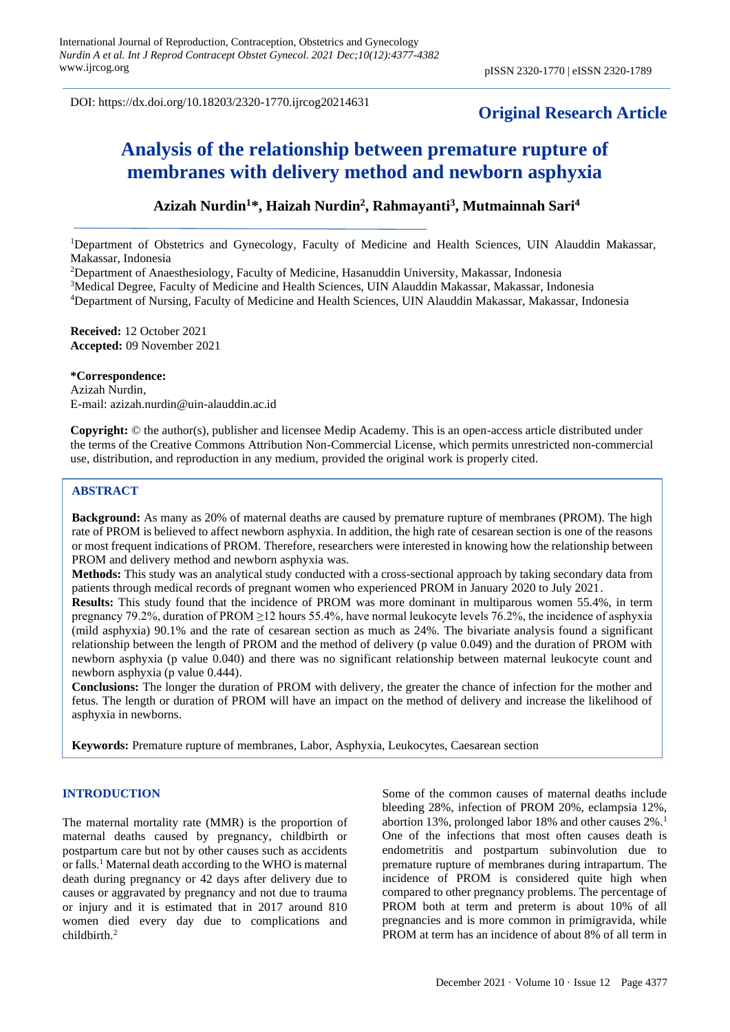DOI: https://dx.doi.org/10.18203/2320-1770.ijrcog20214631

# **Original Research Article**

# **Analysis of the relationship between premature rupture of membranes with delivery method and newborn asphyxia**

# **Azizah Nurdin<sup>1</sup>\*, Haizah Nurdin<sup>2</sup> , Rahmayanti<sup>3</sup> , Mutmainnah Sari<sup>4</sup>**

<sup>1</sup>Department of Obstetrics and Gynecology, Faculty of Medicine and Health Sciences, UIN Alauddin Makassar, Makassar, Indonesia

<sup>2</sup>Department of Anaesthesiology, Faculty of Medicine, Hasanuddin University, Makassar, Indonesia

<sup>3</sup>Medical Degree, Faculty of Medicine and Health Sciences, UIN Alauddin Makassar, Makassar, Indonesia

<sup>4</sup>Department of Nursing, Faculty of Medicine and Health Sciences, UIN Alauddin Makassar, Makassar, Indonesia

**Received:** 12 October 2021 **Accepted:** 09 November 2021

#### **\*Correspondence:**

Azizah Nurdin, E-mail: azizah.nurdin@uin-alauddin.ac.id

**Copyright:** © the author(s), publisher and licensee Medip Academy. This is an open-access article distributed under the terms of the Creative Commons Attribution Non-Commercial License, which permits unrestricted non-commercial use, distribution, and reproduction in any medium, provided the original work is properly cited.

#### **ABSTRACT**

**Background:** As many as 20% of maternal deaths are caused by premature rupture of membranes (PROM). The high rate of PROM is believed to affect newborn asphyxia. In addition, the high rate of cesarean section is one of the reasons or most frequent indications of PROM. Therefore, researchers were interested in knowing how the relationship between PROM and delivery method and newborn asphyxia was.

**Methods:** This study was an analytical study conducted with a cross-sectional approach by taking secondary data from patients through medical records of pregnant women who experienced PROM in January 2020 to July 2021.

**Results:** This study found that the incidence of PROM was more dominant in multiparous women 55.4%, in term pregnancy 79.2%, duration of PROM  $\geq$ 12 hours 55.4%, have normal leukocyte levels 76.2%, the incidence of asphyxia (mild asphyxia) 90.1% and the rate of cesarean section as much as 24%. The bivariate analysis found a significant relationship between the length of PROM and the method of delivery (p value 0.049) and the duration of PROM with newborn asphyxia (p value 0.040) and there was no significant relationship between maternal leukocyte count and newborn asphyxia (p value 0.444).

**Conclusions:** The longer the duration of PROM with delivery, the greater the chance of infection for the mother and fetus. The length or duration of PROM will have an impact on the method of delivery and increase the likelihood of asphyxia in newborns.

**Keywords:** Premature rupture of membranes, Labor, Asphyxia, Leukocytes, Caesarean section

#### **INTRODUCTION**

The maternal mortality rate (MMR) is the proportion of maternal deaths caused by pregnancy, childbirth or postpartum care but not by other causes such as accidents or falls.<sup>1</sup> Maternal death according to the WHO is maternal death during pregnancy or 42 days after delivery due to causes or aggravated by pregnancy and not due to trauma or injury and it is estimated that in 2017 around 810 women died every day due to complications and childbirth.<sup>2</sup>

Some of the common causes of maternal deaths include bleeding 28%, infection of PROM 20%, eclampsia 12%, abortion 13%, prolonged labor 18% and other causes 2%.<sup>1</sup> One of the infections that most often causes death is endometritis and postpartum subinvolution due to premature rupture of membranes during intrapartum. The incidence of PROM is considered quite high when compared to other pregnancy problems. The percentage of PROM both at term and preterm is about 10% of all pregnancies and is more common in primigravida, while PROM at term has an incidence of about 8% of all term in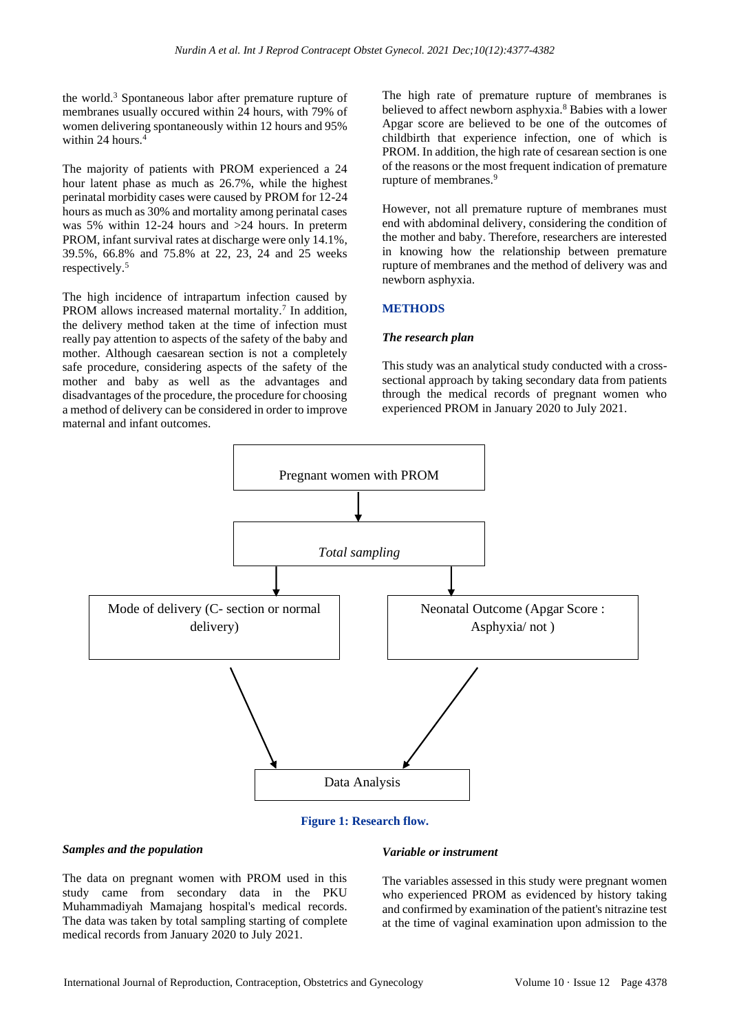the world.<sup>3</sup> Spontaneous labor after premature rupture of membranes usually occured within 24 hours, with 79% of women delivering spontaneously within 12 hours and 95% within 24 hours.<sup>4</sup>

The majority of patients with PROM experienced a 24 hour latent phase as much as 26.7%, while the highest perinatal morbidity cases were caused by PROM for 12-24 hours as much as 30% and mortality among perinatal cases was 5% within 12-24 hours and >24 hours. In preterm PROM, infant survival rates at discharge were only 14.1%, 39.5%, 66.8% and 75.8% at 22, 23, 24 and 25 weeks respectively.<sup>5</sup>

The high incidence of intrapartum infection caused by PROM allows increased maternal mortality.<sup>7</sup> In addition, the delivery method taken at the time of infection must really pay attention to aspects of the safety of the baby and mother. Although caesarean section is not a completely safe procedure, considering aspects of the safety of the mother and baby as well as the advantages and disadvantages of the procedure, the procedure for choosing a method of delivery can be considered in order to improve maternal and infant outcomes.

The high rate of premature rupture of membranes is believed to affect newborn asphyxia.<sup>8</sup> Babies with a lower Apgar score are believed to be one of the outcomes of childbirth that experience infection, one of which is PROM. In addition, the high rate of cesarean section is one of the reasons or the most frequent indication of premature rupture of membranes.<sup>9</sup>

However, not all premature rupture of membranes must end with abdominal delivery, considering the condition of the mother and baby. Therefore, researchers are interested in knowing how the relationship between premature rupture of membranes and the method of delivery was and newborn asphyxia.

# **METHODS**

#### *The research plan*

This study was an analytical study conducted with a crosssectional approach by taking secondary data from patients through the medical records of pregnant women who experienced PROM in January 2020 to July 2021.



#### **Figure 1: Research flow.**

#### *Samples and the population*

The data on pregnant women with PROM used in this study came from secondary data in the PKU Muhammadiyah Mamajang hospital's medical records. The data was taken by total sampling starting of complete medical records from January 2020 to July 2021.

#### *Variable or instrument*

The variables assessed in this study were pregnant women who experienced PROM as evidenced by history taking and confirmed by examination of the patient's nitrazine test at the time of vaginal examination upon admission to the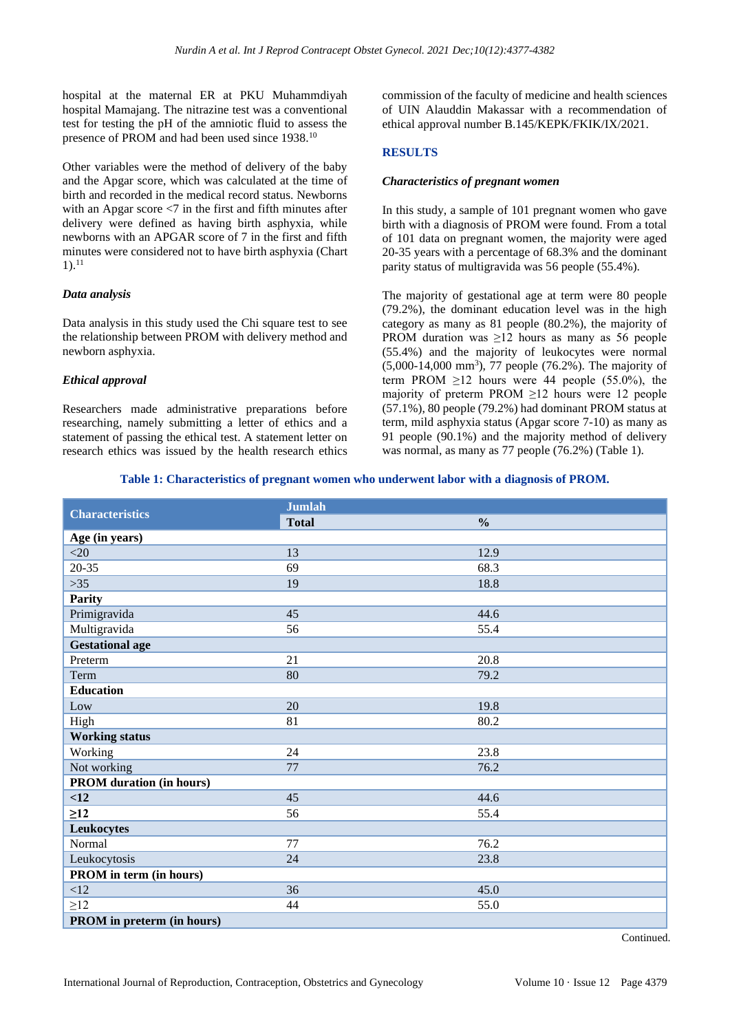hospital at the maternal ER at PKU Muhammdiyah hospital Mamajang. The nitrazine test was a conventional test for testing the pH of the amniotic fluid to assess the presence of PROM and had been used since 1938.<sup>10</sup>

Other variables were the method of delivery of the baby and the Apgar score, which was calculated at the time of birth and recorded in the medical record status. Newborns with an Apgar score  $\leq$  in the first and fifth minutes after delivery were defined as having birth asphyxia, while newborns with an APGAR score of 7 in the first and fifth minutes were considered not to have birth asphyxia (Chart  $1)$ <sup>11</sup>

# *Data analysis*

Data analysis in this study used the Chi square test to see the relationship between PROM with delivery method and newborn asphyxia.

#### *Ethical approval*

Researchers made administrative preparations before researching, namely submitting a letter of ethics and a statement of passing the ethical test. A statement letter on research ethics was issued by the health research ethics commission of the faculty of medicine and health sciences of UIN Alauddin Makassar with a recommendation of ethical approval number B.145/KEPK/FKIK/IX/2021.

# **RESULTS**

#### *Characteristics of pregnant women*

In this study, a sample of 101 pregnant women who gave birth with a diagnosis of PROM were found. From a total of 101 data on pregnant women, the majority were aged 20-35 years with a percentage of 68.3% and the dominant parity status of multigravida was 56 people (55.4%).

The majority of gestational age at term were 80 people (79.2%), the dominant education level was in the high category as many as 81 people (80.2%), the majority of PROM duration was  $\geq 12$  hours as many as 56 people (55.4%) and the majority of leukocytes were normal (5,000-14,000 mm<sup>3</sup>), 77 people (76.2%). The majority of term PROM  $\geq$ 12 hours were 44 people (55.0%), the majority of preterm PROM  $\geq$ 12 hours were 12 people (57.1%), 80 people (79.2%) had dominant PROM status at term, mild asphyxia status (Apgar score 7-10) as many as 91 people (90.1%) and the majority method of delivery was normal, as many as 77 people (76.2%) (Table 1).

#### **Table 1: Characteristics of pregnant women who underwent labor with a diagnosis of PROM.**

| <b>Characteristics</b>          | <b>Jumlah</b> |               |  |  |  |
|---------------------------------|---------------|---------------|--|--|--|
|                                 | <b>Total</b>  | $\frac{0}{0}$ |  |  |  |
| Age (in years)                  |               |               |  |  |  |
| $<$ 20 $\,$                     | 13            | 12.9          |  |  |  |
| $20 - 35$                       | 69            | 68.3          |  |  |  |
| $>35$                           | 19            | 18.8          |  |  |  |
| <b>Parity</b>                   |               |               |  |  |  |
| Primigravida                    | 45            | 44.6          |  |  |  |
| Multigravida                    | 56            | 55.4          |  |  |  |
| <b>Gestational age</b>          |               |               |  |  |  |
| Preterm                         | 21            | 20.8          |  |  |  |
| Term                            | 80            | 79.2          |  |  |  |
| <b>Education</b>                |               |               |  |  |  |
| Low                             | 20            | 19.8          |  |  |  |
| High                            | 81            | 80.2          |  |  |  |
| <b>Working status</b>           |               |               |  |  |  |
| Working                         | 24            | 23.8          |  |  |  |
| Not working                     | 77            | 76.2          |  |  |  |
| <b>PROM</b> duration (in hours) |               |               |  |  |  |
| <12                             | 45            | 44.6          |  |  |  |
| $\geq$ 12                       | 56            | 55.4          |  |  |  |
| Leukocytes                      |               |               |  |  |  |
| Normal                          | 77            | 76.2          |  |  |  |
| Leukocytosis                    | 24            | 23.8          |  |  |  |
| <b>PROM</b> in term (in hours)  |               |               |  |  |  |
| <12                             | 36            | 45.0          |  |  |  |
| $\geq$ 12                       | $44$          | 55.0          |  |  |  |
| PROM in preterm (in hours)      |               |               |  |  |  |

Continued.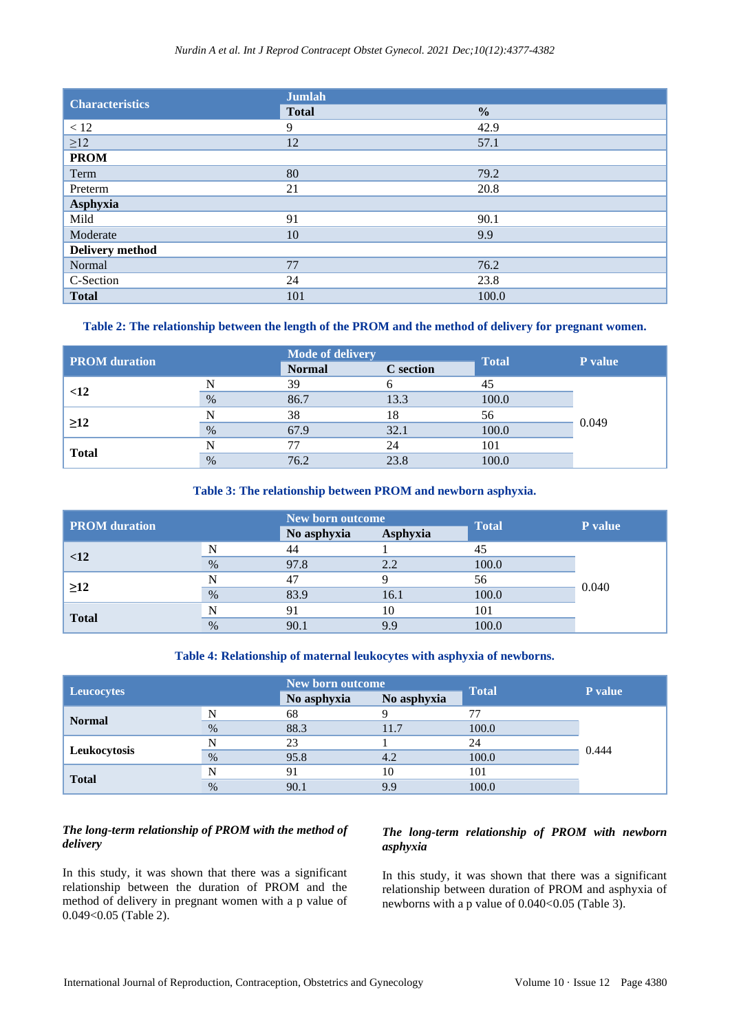#### *Nurdin A et al. Int J Reprod Contracept Obstet Gynecol. 2021 Dec;10(12):4377-4382*

| <b>Characteristics</b> | <b>Jumlah</b> |               |  |  |
|------------------------|---------------|---------------|--|--|
|                        | <b>Total</b>  | $\frac{0}{0}$ |  |  |
| $<12$                  | 9             | 42.9          |  |  |
| $\geq$ 12              | 12            | 57.1          |  |  |
| <b>PROM</b>            |               |               |  |  |
| Term                   | 80            | 79.2          |  |  |
| Preterm                | 21            | 20.8          |  |  |
| Asphyxia               |               |               |  |  |
| Mild                   | 91            | 90.1          |  |  |
| Moderate               | 10            | 9.9           |  |  |
| Delivery method        |               |               |  |  |
| Normal                 | 77            | 76.2          |  |  |
| C-Section              | 24            | 23.8          |  |  |
| <b>Total</b>           | 101           | 100.0         |  |  |

#### **Table 2: The relationship between the length of the PROM and the method of delivery for pregnant women.**

| <b>PROM</b> duration |      | <b>Mode of delivery</b> |                  | <b>Total</b> | P value |
|----------------------|------|-------------------------|------------------|--------------|---------|
|                      |      | <b>Normal</b>           | <b>C</b> section |              |         |
| <12                  | N    | 39                      |                  | 45           | 0.049   |
|                      | $\%$ | 86.7                    | 13.3             | 100.0        |         |
| $\geq$ 12            | N    | 38                      | 18               | 56           |         |
|                      | $\%$ | 67.9                    | 32.1             | 100.0        |         |
| <b>Total</b>         |      | 77                      | 24               | 101          |         |
|                      | $\%$ | 76.2                    | 23.8             | 100.0        |         |

#### **Table 3: The relationship between PROM and newborn asphyxia.**

| <b>PROM</b> duration |      | New born outcome |          | <b>Total</b> |         |
|----------------------|------|------------------|----------|--------------|---------|
|                      |      | No asphyxia      | Asphyxia |              | P value |
| <12                  | N    | 44               |          |              | 0.040   |
|                      | $\%$ | 97.8             | 2.2      | 100.0        |         |
| $\geq$ 12            | N    | 47               |          | 56           |         |
|                      | $\%$ | 83.9             | 16.1     | 100.0        |         |
| <b>Total</b>         | N    | 91               | 10       | 101          |         |
|                      | $\%$ | 90.1             | 9.9      | 100.0        |         |

#### **Table 4: Relationship of maternal leukocytes with asphyxia of newborns.**

| <b>Leucocytes</b> |      | New born outcome |             |              | P value |
|-------------------|------|------------------|-------------|--------------|---------|
|                   |      | No asphyxia      | No asphyxia | <b>Total</b> |         |
| <b>Normal</b>     | N    | 68               |             |              | 0.444   |
|                   | $\%$ | 88.3             | 11.7        | 100.0        |         |
| Leukocytosis      |      | 23               |             | 24           |         |
|                   | $\%$ | 95.8             | 4.2         | 100.0        |         |
| <b>Total</b>      | N    | 91               | 10          | 101          |         |
|                   | $\%$ | 90.1             | 9.9         | 100.0        |         |

# *The long-term relationship of PROM with the method of delivery*

In this study, it was shown that there was a significant relationship between the duration of PROM and the method of delivery in pregnant women with a p value of 0.049<0.05 (Table 2).

# *The long-term relationship of PROM with newborn asphyxia*

In this study, it was shown that there was a significant relationship between duration of PROM and asphyxia of newborns with a p value of  $0.040<0.05$  (Table 3).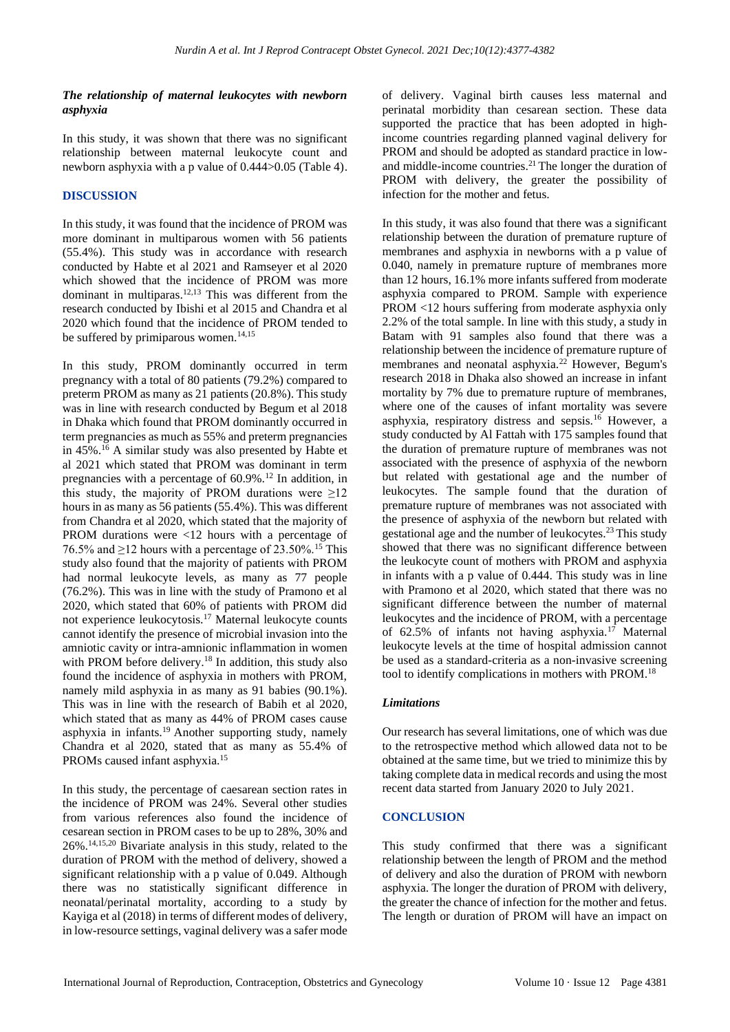#### *The relationship of maternal leukocytes with newborn asphyxia*

In this study, it was shown that there was no significant relationship between maternal leukocyte count and newborn asphyxia with a p value of 0.444>0.05 (Table 4).

### **DISCUSSION**

In this study, it was found that the incidence of PROM was more dominant in multiparous women with 56 patients (55.4%). This study was in accordance with research conducted by Habte et al 2021 and Ramseyer et al 2020 which showed that the incidence of PROM was more dominant in multiparas.<sup>12,13</sup> This was different from the research conducted by Ibishi et al 2015 and Chandra et al 2020 which found that the incidence of PROM tended to be suffered by primiparous women.<sup>14,15</sup>

In this study, PROM dominantly occurred in term pregnancy with a total of 80 patients (79.2%) compared to preterm PROM as many as 21 patients (20.8%). This study was in line with research conducted by Begum et al 2018 in Dhaka which found that PROM dominantly occurred in term pregnancies as much as 55% and preterm pregnancies in  $45\%$ .<sup>16</sup> A similar study was also presented by Habte et al 2021 which stated that PROM was dominant in term pregnancies with a percentage of  $60.9\%$ <sup>12</sup> In addition, in this study, the majority of PROM durations were  $\geq 12$ hours in as many as 56 patients (55.4%). This was different from Chandra et al 2020, which stated that the majority of PROM durations were <12 hours with a percentage of 76.5% and  $\geq$ 12 hours with a percentage of 23.50%.<sup>15</sup> This study also found that the majority of patients with PROM had normal leukocyte levels, as many as 77 people (76.2%). This was in line with the study of Pramono et al 2020, which stated that 60% of patients with PROM did not experience leukocytosis.<sup>17</sup> Maternal leukocyte counts cannot identify the presence of microbial invasion into the amniotic cavity or intra-amnionic inflammation in women with PROM before delivery.<sup>18</sup> In addition, this study also found the incidence of asphyxia in mothers with PROM, namely mild asphyxia in as many as 91 babies (90.1%). This was in line with the research of Babih et al 2020, which stated that as many as 44% of PROM cases cause asphyxia in infants.<sup>19</sup> Another supporting study, namely Chandra et al 2020, stated that as many as 55.4% of PROMs caused infant asphyxia.<sup>15</sup>

In this study, the percentage of caesarean section rates in the incidence of PROM was 24%. Several other studies from various references also found the incidence of cesarean section in PROM cases to be up to 28%, 30% and 26%.14,15,20 Bivariate analysis in this study, related to the duration of PROM with the method of delivery, showed a significant relationship with a p value of 0.049. Although there was no statistically significant difference in neonatal/perinatal mortality, according to a study by Kayiga et al (2018) in terms of different modes of delivery, in low-resource settings, vaginal delivery was a safer mode of delivery. Vaginal birth causes less maternal and perinatal morbidity than cesarean section. These data supported the practice that has been adopted in highincome countries regarding planned vaginal delivery for PROM and should be adopted as standard practice in lowand middle-income countries.<sup>21</sup> The longer the duration of PROM with delivery, the greater the possibility of infection for the mother and fetus.

In this study, it was also found that there was a significant relationship between the duration of premature rupture of membranes and asphyxia in newborns with a p value of 0.040, namely in premature rupture of membranes more than 12 hours, 16.1% more infants suffered from moderate asphyxia compared to PROM. Sample with experience PROM <12 hours suffering from moderate asphyxia only 2.2% of the total sample. In line with this study, a study in Batam with 91 samples also found that there was a relationship between the incidence of premature rupture of membranes and neonatal asphyxia.<sup>22</sup> However, Begum's research 2018 in Dhaka also showed an increase in infant mortality by 7% due to premature rupture of membranes, where one of the causes of infant mortality was severe asphyxia, respiratory distress and sepsis.<sup>16</sup> However, a study conducted by Al Fattah with 175 samples found that the duration of premature rupture of membranes was not associated with the presence of asphyxia of the newborn but related with gestational age and the number of leukocytes. The sample found that the duration of premature rupture of membranes was not associated with the presence of asphyxia of the newborn but related with gestational age and the number of leukocytes.<sup>23</sup> This study showed that there was no significant difference between the leukocyte count of mothers with PROM and asphyxia in infants with a p value of 0.444. This study was in line with Pramono et al 2020, which stated that there was no significant difference between the number of maternal leukocytes and the incidence of PROM, with a percentage of 62.5% of infants not having asphyxia.<sup>17</sup> Maternal leukocyte levels at the time of hospital admission cannot be used as a standard-criteria as a non-invasive screening tool to identify complications in mothers with PROM.<sup>18</sup>

#### *Limitations*

Our research has several limitations, one of which was due to the retrospective method which allowed data not to be obtained at the same time, but we tried to minimize this by taking complete data in medical records and using the most recent data started from January 2020 to July 2021.

#### **CONCLUSION**

This study confirmed that there was a significant relationship between the length of PROM and the method of delivery and also the duration of PROM with newborn asphyxia. The longer the duration of PROM with delivery, the greater the chance of infection for the mother and fetus. The length or duration of PROM will have an impact on